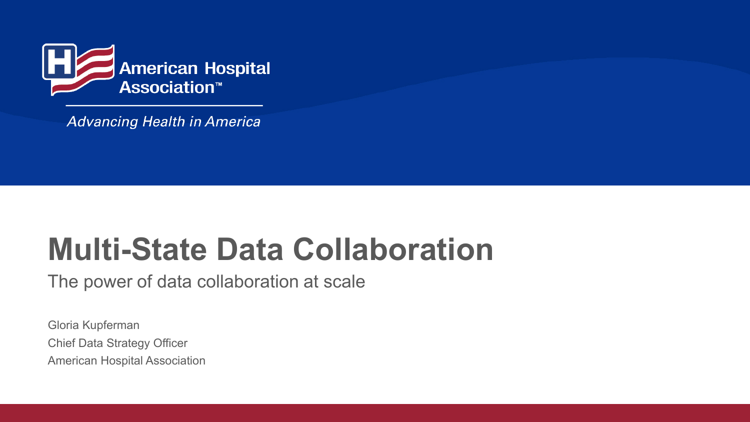

**Advancing Health in America** 

# **Multi-State Data Collaboration**

The power of data collaboration at scale

Gloria Kupferman Chief Data Strategy Officer American Hospital Association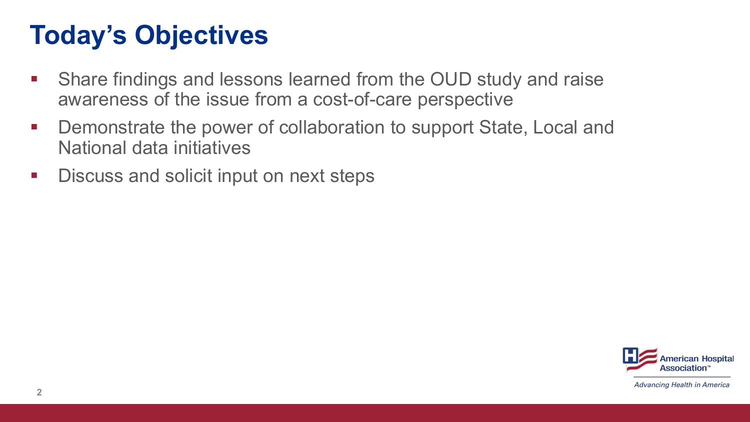## **Today's Objectives**

- Share findings and lessons learned from the OUD study and raise awareness of the issue from a cost-of-care perspective
- Demonstrate the power of collaboration to support State, Local and National data initiatives
- **Discuss and solicit input on next steps**

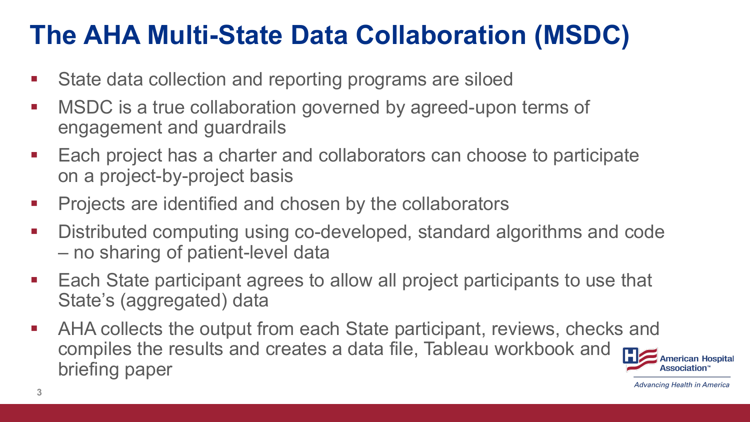## **The AHA Multi-State Data Collaboration (MSDC)**

- **State data collection and reporting programs are siloed**
- **MSDC** is a true collaboration governed by agreed-upon terms of engagement and guardrails
- Each project has a charter and collaborators can choose to participate on a project-by-project basis
- Projects are identified and chosen by the collaborators
- Distributed computing using co-developed, standard algorithms and code – no sharing of patient-level data
- Each State participant agrees to allow all project participants to use that State's (aggregated) data
- AHA collects the output from each State participant, reviews, checks and compiles the results and creates a data file, Tableau workbook and briefing paper

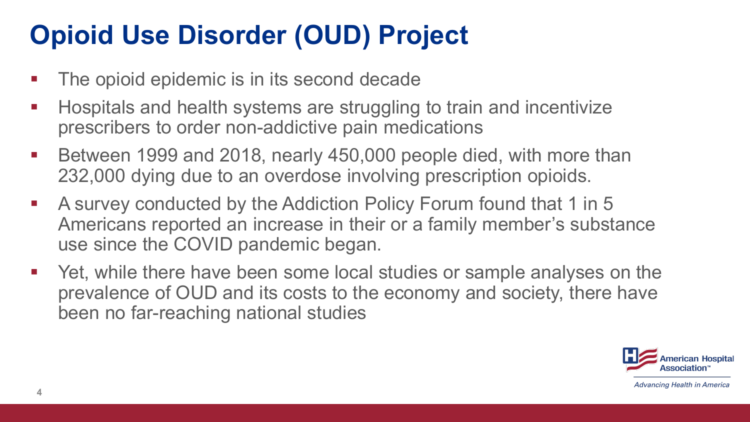# **Opioid Use Disorder (OUD) Project**

- The opioid epidemic is in its second decade
- **Hospitals and health systems are struggling to train and incentivize** prescribers to order non-addictive pain medications
- Between 1999 and 2018, nearly 450,000 people died, with more than 232,000 dying due to an overdose involving prescription opioids.
- A survey conducted by the Addiction Policy Forum found that 1 in 5 Americans reported an increase in their or a family member's substance use since the COVID pandemic began.
- Yet, while there have been some local studies or sample analyses on the prevalence of OUD and its costs to the economy and society, there have been no far-reaching national studies

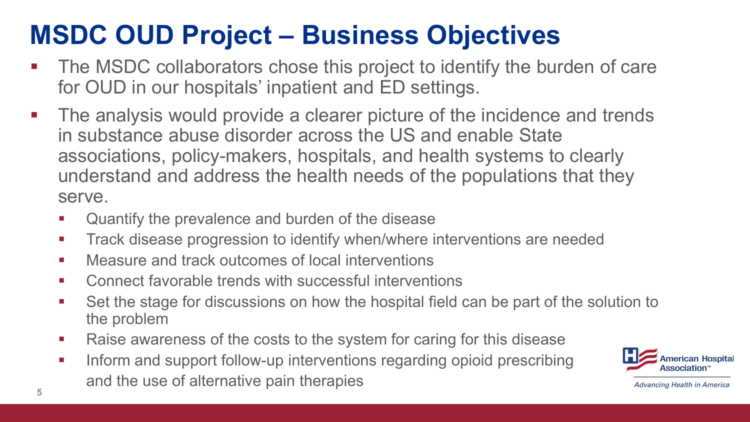# **MSDC OUD Project – Business Objectives**

- The MSDC collaborators chose this project to identify the burden of care for OUD in our hospitals' inpatient and ED settings.
- **The analysis would provide a clearer picture of the incidence and trends** in substance abuse disorder across the US and enable State associations, policy-makers, hospitals, and health systems to clearly understand and address the health needs of the populations that they serve.
	- Quantify the prevalence and burden of the disease
	- **Track disease progression to identify when/where interventions are needed**
	- **EXECUTE:** Measure and track outcomes of local interventions
	- Connect favorable trends with successful interventions
	- Set the stage for discussions on how the hospital field can be part of the solution to the problem
	- Raise awareness of the costs to the system for caring for this disease
- **Inform and support follow-up interventions regarding opioid prescribing** and the use of alternative pain therapies **5**

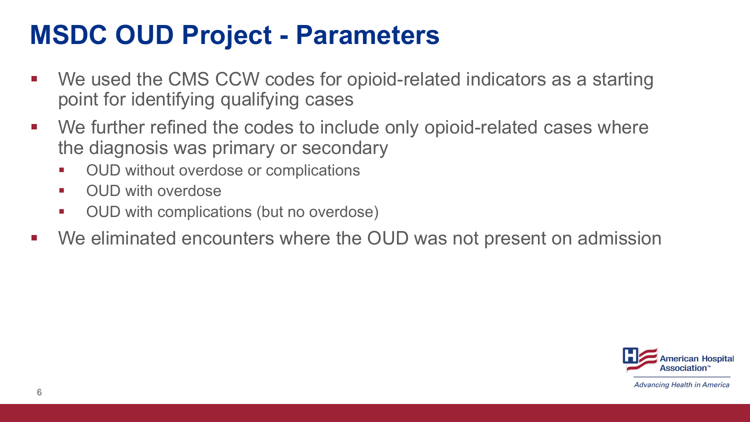## **MSDC OUD Project - Parameters**

- We used the CMS CCW codes for opioid-related indicators as a starting point for identifying qualifying cases
- We further refined the codes to include only opioid-related cases where the diagnosis was primary or secondary
	- OUD without overdose or complications
	- OUD with overdose
	- OUD with complications (but no overdose)
- We eliminated encounters where the OUD was not present on admission

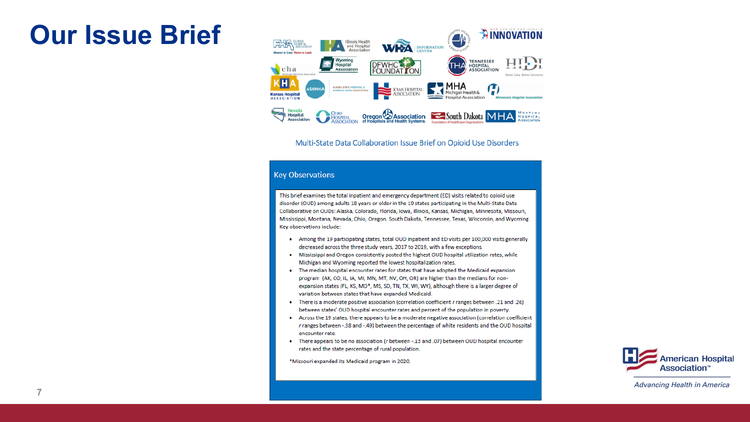#### **Our Issue Brief**



#### Multi-State Data Collaboration Issue Brief on Opioid Use Disorders

#### **Key Observations**

This brief examines the total inpatient and emergency department (ED) visits related to opioid use disorder (OUD) among adults 18 years or older in the 19 states participating in the Multi-State Data Collaborative on OUDs: Alaska, Colorado, Florida, Iowa, Illinois, Kansas, Michigan, Minnesota, Missouri, Mississippi, Montana, Nevada, Ohio, Oregon, South Dakota, Tennessee, Texas, Wisconsin, and Wyoming. Key observations include:

- Among the 19 participating states, total OUD inpatient and ED visits per 100,000 visits generally decreased across the three study years, 2017 to 2019, with a few exceptions.
- . Mississippi and Oregon consistently posted the highest OUD hospital utilization rates, while Michigan and Wyoming reported the lowest hospitalization rates.
- The median hospital encounter rates for states that have adopted the Medicaid expansion program (AK, CO, IL, IA, MI, MN, MT, NV, OH, OR) are higher than the medians for nonexpansion states (FL, KS, MO\*, MS, SD, TN, TX, WI, WY), although there is a larger degree of variation between states that have expanded Medicaid.
- There is a moderate positive association (correlation coefficient r ranges between .21 and .26) between states' OUD hospital encounter rates and percent of the population in poverty.
- Across the 19 states, there appears to be a moderate negative association (correlation coefficient r ranges between -.38 and -.49) between the percentage of white residents and the OUD hospital encounter rate.
- There appears to be no association (r between -. 13 and .07) between OUD hospital encounter rates and the state percentage of rural population.

\*Missouri expanded its Medicaid program in 2020.

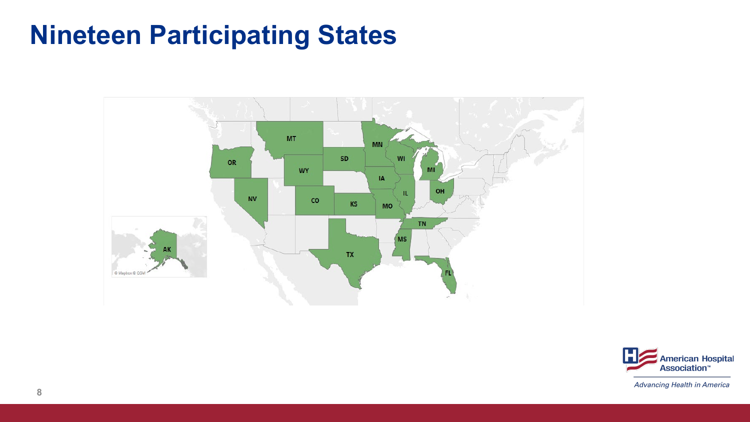## **Nineteen Participating States**



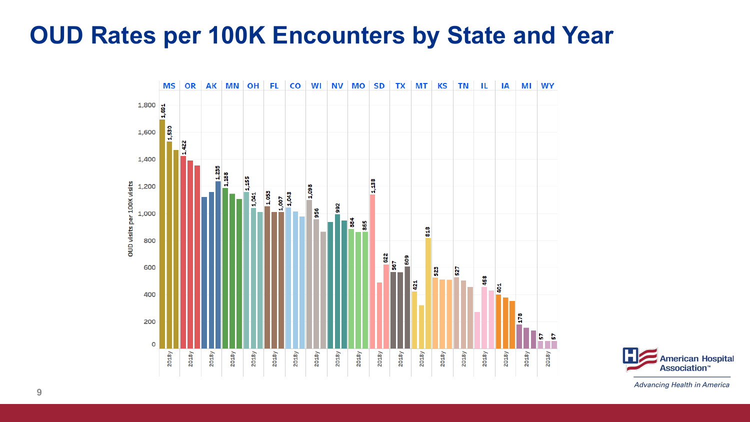#### **OUD Rates per 100K Encounters by State and Year**



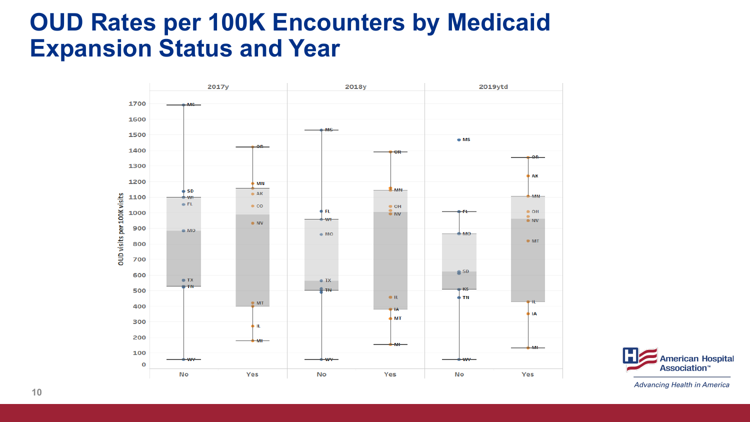#### **OUD Rates per 100K Encounters by Medicaid Expansion Status and Year**



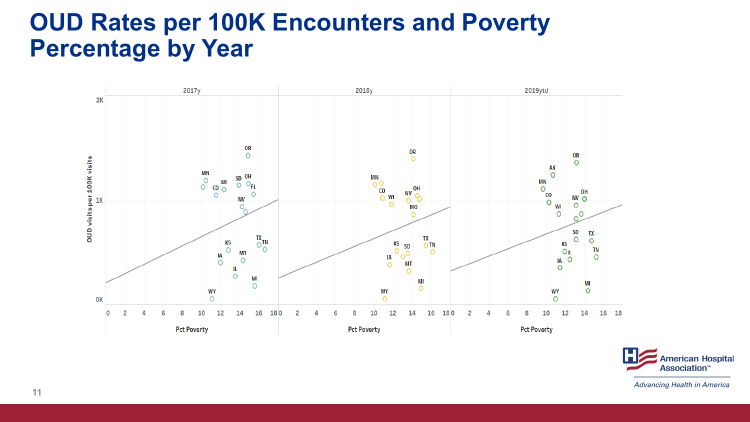#### **OUD Rates per 100K Encounters and Poverty Percentage by Year**



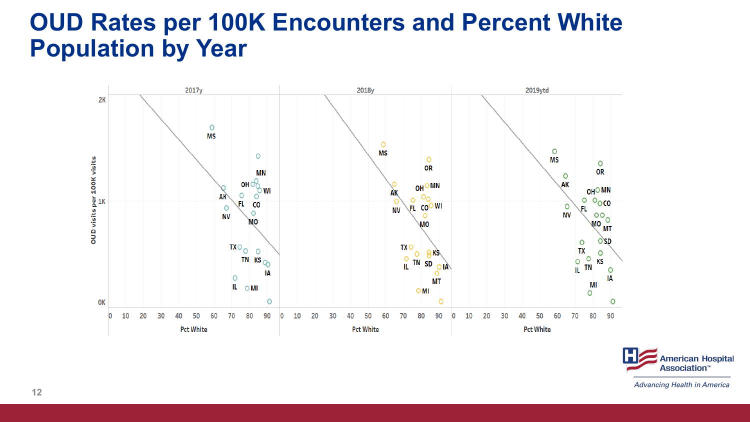#### **OUD Rates per 100K Encounters and Percent White Population by Year**



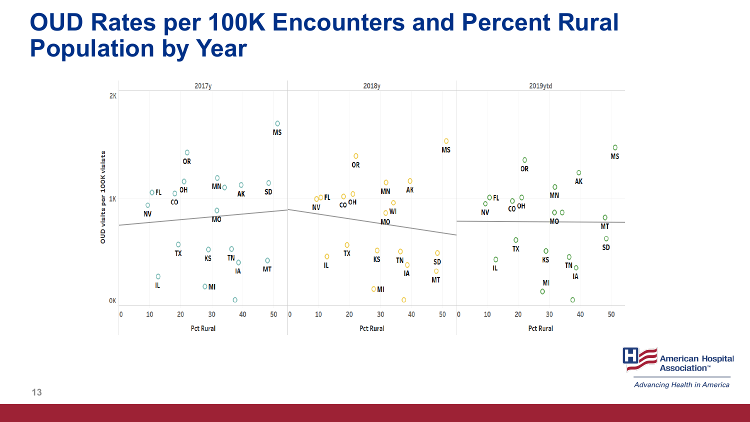#### **OUD Rates per 100K Encounters and Percent Rural Population by Year**



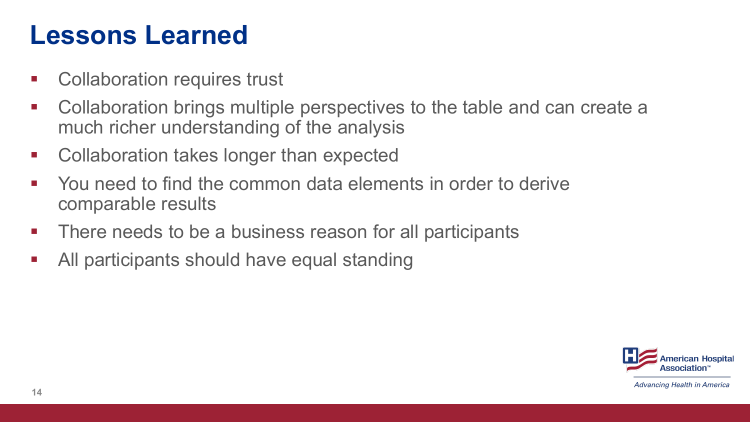## **Lessons Learned**

- **EXECOLER** Collaboration requires trust
- Collaboration brings multiple perspectives to the table and can create a much richer understanding of the analysis
- **EXECOLER** Collaboration takes longer than expected
- You need to find the common data elements in order to derive comparable results
- **There needs to be a business reason for all participants**
- All participants should have equal standing

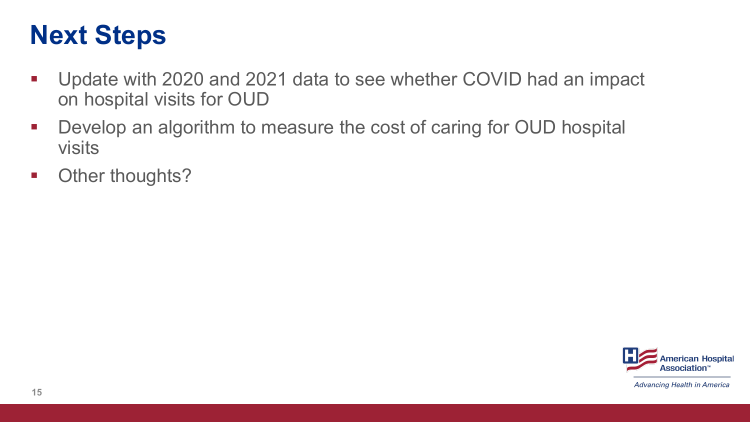## **Next Steps**

- Update with 2020 and 2021 data to see whether COVID had an impact on hospital visits for OUD
- Develop an algorithm to measure the cost of caring for OUD hospital visits
- **•** Other thoughts?